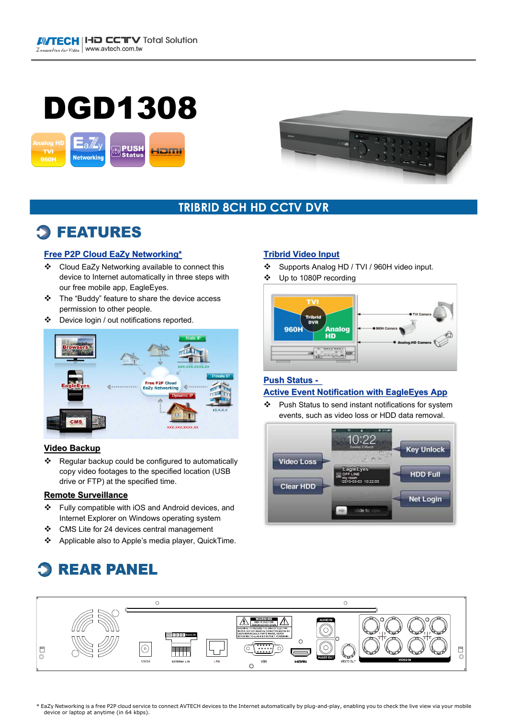# DGD1308





### **TRIBRID 8CH HD CCTV DVR**

## **FEATURES**

#### **Free P2P Cloud EaZy Networking\***

- Cloud EaZy Networking available to connect this device to Internet automatically in three steps with our free mobile app, EagleEyes.
- The "Buddy" feature to share the device access permission to other people.
- Device login / out notifications reported.



#### **Video Backup**

\* Regular backup could be configured to automatically copy video footages to the specified location (USB drive or FTP) at the specified time.

#### **Remote Surveillance**

- \* Fully compatible with iOS and Android devices, and Internet Explorer on Windows operating system
- CMS Lite for 24 devices central management
- Applicable also to Apple's media player, QuickTime.

#### **Tribrid Video Input** Supports Analog HD / TVI / 960H video input.

Up to 1080P recording



#### **Push Status -**

#### **Active Event Notification with EagleEyes App**

 Push Status to send instant notifications for system events, such as video loss or HDD data removal.



#### $\circ$  $\circ$ (O) **SEMINAL SEMI-**GND 1 2 3 4 **Alarm IN** $\overline{C}$  $\odot$  $\begin{array}{c}\n\Box \\
\Box\n\end{array}$  $|\odot$  $\begin{array}{c}\n\Box \\
\Box\n\end{array}$ ଟ ি H H r – VGA EXTERNA L IN  $\circ$

\* EaZy Networking is a free P2P cloud service to connect AVTECH devices to the Internet automatically by plug-and-play, enabling you to check the live view via your mobile device or laptop at anytime (in 64 kbps).

## **REAR PANEL**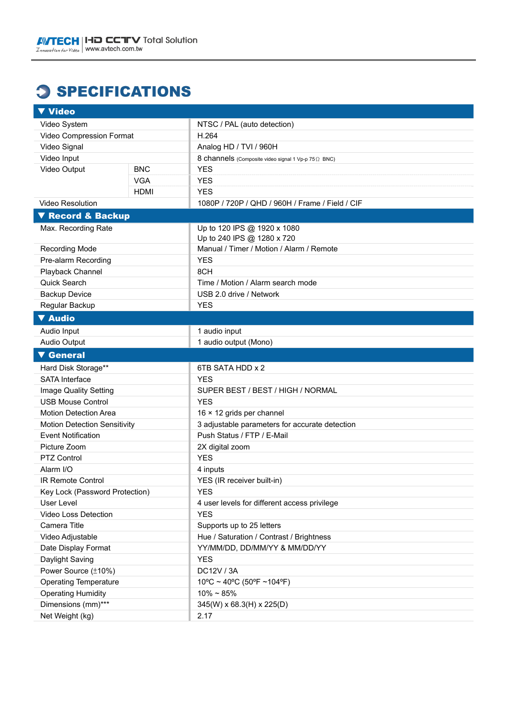## **3 SPECIFICATIONS**

| ▼ Video                        |             |                                                     |  |  |
|--------------------------------|-------------|-----------------------------------------------------|--|--|
| Video System                   |             | NTSC / PAL (auto detection)                         |  |  |
| Video Compression Format       |             | H.264                                               |  |  |
| Video Signal                   |             | Analog HD / TVI / 960H                              |  |  |
| Video Input                    |             | 8 channels (Composite video signal 1 Vp-p 75 Q BNC) |  |  |
| Video Output                   | <b>BNC</b>  | <b>YES</b>                                          |  |  |
|                                | <b>VGA</b>  | <b>YES</b>                                          |  |  |
|                                | <b>HDMI</b> | <b>YES</b>                                          |  |  |
| <b>Video Resolution</b>        |             | 1080P / 720P / QHD / 960H / Frame / Field / CIF     |  |  |
| ▼ Record & Backup              |             |                                                     |  |  |
| Max. Recording Rate            |             | Up to 120 IPS @ 1920 x 1080                         |  |  |
|                                |             | Up to 240 IPS @ 1280 x 720                          |  |  |
| Recording Mode                 |             | Manual / Timer / Motion / Alarm / Remote            |  |  |
| Pre-alarm Recording            |             | <b>YES</b>                                          |  |  |
| Playback Channel               |             | 8CH                                                 |  |  |
| Quick Search                   |             | Time / Motion / Alarm search mode                   |  |  |
| <b>Backup Device</b>           |             | USB 2.0 drive / Network                             |  |  |
| Regular Backup                 |             | <b>YES</b>                                          |  |  |
| <b>V</b> Audio                 |             |                                                     |  |  |
| Audio Input                    |             | 1 audio input                                       |  |  |
| Audio Output                   |             | 1 audio output (Mono)                               |  |  |
| <b>V</b> General               |             |                                                     |  |  |
| Hard Disk Storage**            |             | 6TB SATA HDD x 2                                    |  |  |
| <b>SATA Interface</b>          |             | <b>YES</b>                                          |  |  |
| Image Quality Setting          |             | SUPER BEST / BEST / HIGH / NORMAL                   |  |  |
| <b>USB Mouse Control</b>       |             | <b>YES</b>                                          |  |  |
| Motion Detection Area          |             | 16 × 12 grids per channel                           |  |  |
| Motion Detection Sensitivity   |             | 3 adjustable parameters for accurate detection      |  |  |
| <b>Event Notification</b>      |             | Push Status / FTP / E-Mail                          |  |  |
| Picture Zoom                   |             | 2X digital zoom                                     |  |  |
| PTZ Control                    |             | <b>YES</b>                                          |  |  |
| Alarm I/O                      |             | 4 inputs                                            |  |  |
| IR Remote Control              |             | YES (IR receiver built-in)                          |  |  |
| Key Lock (Password Protection) |             | <b>YES</b>                                          |  |  |
| User Level                     |             | 4 user levels for different access privilege        |  |  |
| Video Loss Detection           |             | <b>YES</b>                                          |  |  |
| Camera Title                   |             | Supports up to 25 letters                           |  |  |
| Video Adjustable               |             | Hue / Saturation / Contrast / Brightness            |  |  |
| Date Display Format            |             | YY/MM/DD, DD/MM/YY & MM/DD/YY                       |  |  |
| Daylight Saving                |             | <b>YES</b>                                          |  |  |
| Power Source (±10%)            |             | DC12V / 3A                                          |  |  |
| <b>Operating Temperature</b>   |             | $10^{\circ}$ C ~ 40°C (50°F ~104°F)                 |  |  |
| <b>Operating Humidity</b>      |             | $10\% \sim 85\%$                                    |  |  |
| Dimensions (mm)***             |             | 345(W) x 68.3(H) x 225(D)                           |  |  |
| Net Weight (kg)                |             | 2.17                                                |  |  |